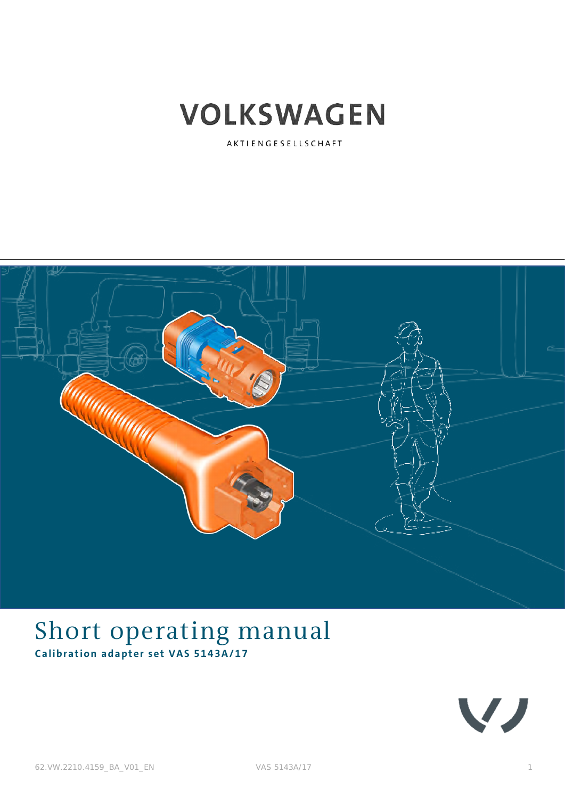

AKTIENGESELLSCHAFT



## <span id="page-0-0"></span>Short operating manual **Calibration adapter set VAS 5143A/17**

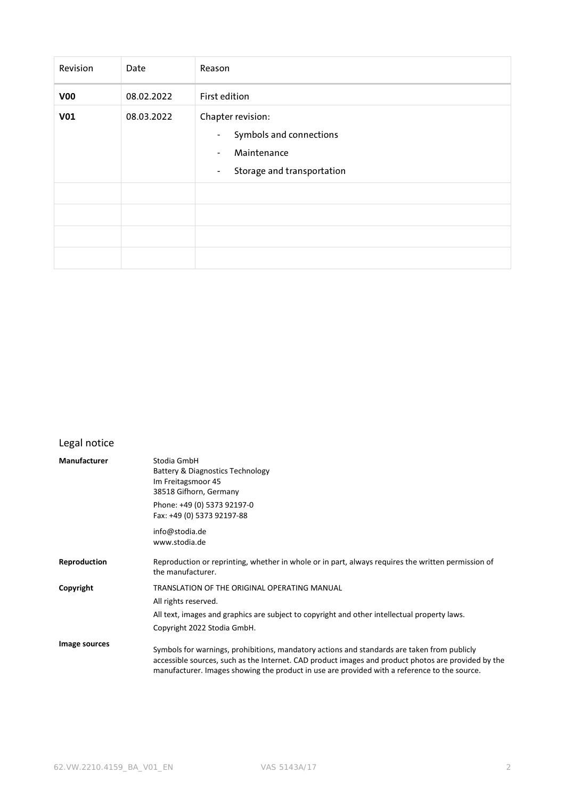| Revision        | Date       | Reason                                                                                                                                                    |  |
|-----------------|------------|-----------------------------------------------------------------------------------------------------------------------------------------------------------|--|
| V <sub>00</sub> | 08.02.2022 | First edition                                                                                                                                             |  |
| V <sub>01</sub> | 08.03.2022 | Chapter revision:<br>Symbols and connections<br>$\overline{\phantom{a}}$<br>Maintenance<br>$\blacksquare$<br>Storage and transportation<br>$\blacksquare$ |  |
|                 |            |                                                                                                                                                           |  |

### <span id="page-1-1"></span><span id="page-1-0"></span>Legal notice

| <b>Manufacturer</b> | Stodia GmbH<br>Battery & Diagnostics Technology<br>Im Freitagsmoor 45<br>38518 Gifhorn, Germany<br>Phone: +49 (0) 5373 92197-0<br>Fax: +49 (0) 5373 92197-88                                                                                                                                       |
|---------------------|----------------------------------------------------------------------------------------------------------------------------------------------------------------------------------------------------------------------------------------------------------------------------------------------------|
|                     | info@stodia.de<br>www.stodia.de                                                                                                                                                                                                                                                                    |
| Reproduction        | Reproduction or reprinting, whether in whole or in part, always requires the written permission of<br>the manufacturer.                                                                                                                                                                            |
| Copyright           | TRANSLATION OF THE ORIGINAL OPERATING MANUAL                                                                                                                                                                                                                                                       |
|                     | All rights reserved.                                                                                                                                                                                                                                                                               |
|                     | All text, images and graphics are subject to copyright and other intellectual property laws.                                                                                                                                                                                                       |
|                     | Copyright 2022 Stodia GmbH.                                                                                                                                                                                                                                                                        |
| Image sources       | Symbols for warnings, prohibitions, mandatory actions and standards are taken from publicly<br>accessible sources, such as the Internet. CAD product images and product photos are provided by the<br>manufacturer. Images showing the product in use are provided with a reference to the source. |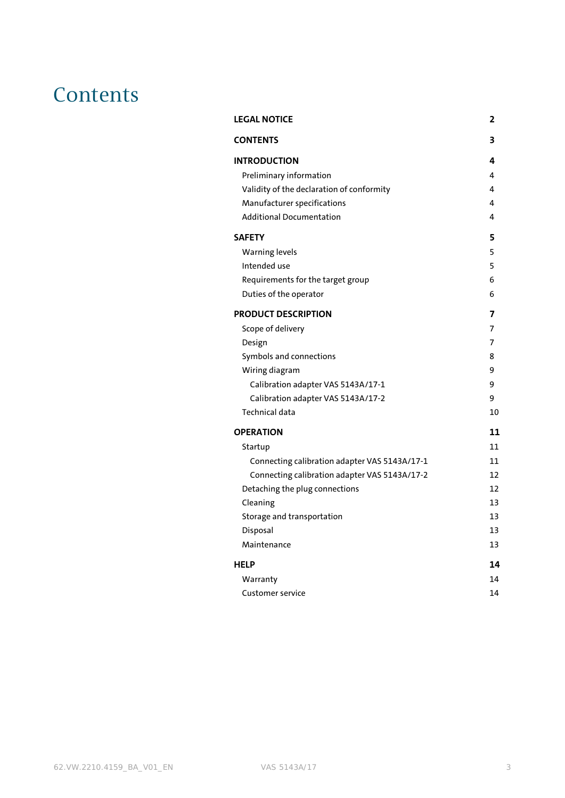## <span id="page-2-0"></span>**Contents**

| <b>LEGAL NOTICE</b>                           | 2  |
|-----------------------------------------------|----|
| <b>CONTENTS</b>                               | 3  |
| <b>INTRODUCTION</b>                           | 4  |
| Preliminary information                       | 4  |
| Validity of the declaration of conformity     | 4  |
| Manufacturer specifications                   | 4  |
| <b>Additional Documentation</b>               | 4  |
| <b>SAFETY</b>                                 | 5  |
| <b>Warning levels</b>                         | 5  |
| Intended use                                  | 5  |
| Requirements for the target group             | 6  |
| Duties of the operator                        | 6  |
| <b>PRODUCT DESCRIPTION</b>                    | 7  |
| Scope of delivery                             | 7  |
| Design                                        | 7  |
| Symbols and connections                       | 8  |
| Wiring diagram                                | 9  |
| Calibration adapter VAS 5143A/17-1            | 9  |
| Calibration adapter VAS 5143A/17-2            | 9  |
| Technical data                                | 10 |
| <b>OPERATION</b>                              | 11 |
| Startup                                       | 11 |
| Connecting calibration adapter VAS 5143A/17-1 | 11 |
| Connecting calibration adapter VAS 5143A/17-2 | 12 |
| Detaching the plug connections                | 12 |
| Cleaning                                      | 13 |
| Storage and transportation                    | 13 |
| Disposal                                      | 13 |
| Maintenance                                   | 13 |
| <b>HELP</b>                                   | 14 |
| Warranty                                      | 14 |
| Customer service                              | 14 |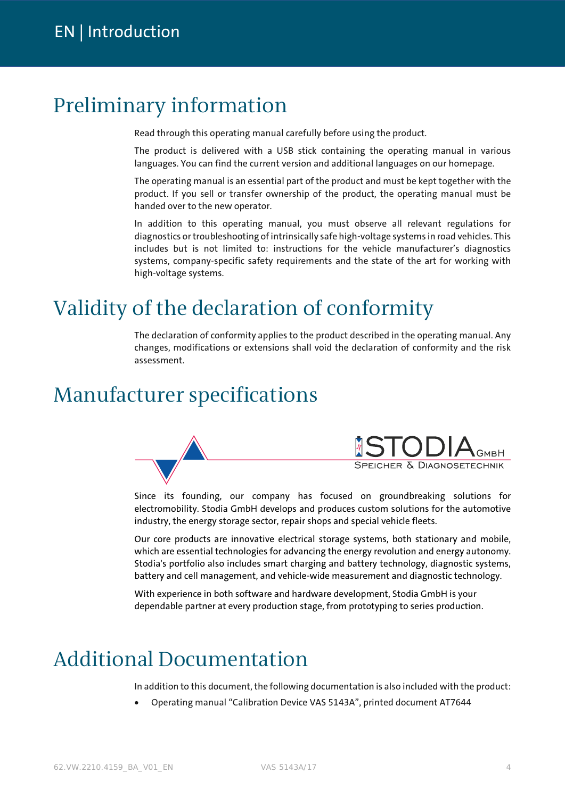## <span id="page-3-1"></span><span id="page-3-0"></span>Preliminary information

Read through this operating manual carefully before using the product.

The product is delivered with a USB stick containing the operating manual in various languages. You can find the current version and additional languages on our homepage.

The operating manual is an essential part of the product and must be kept together with the product. If you sell or transfer ownership of the product, the operating manual must be handed over to the new operator.

In addition to this operating manual, you must observe all relevant regulations for diagnostics or troubleshooting of intrinsically safe high-voltage systems in road vehicles. This includes but is not limited to: instructions for the vehicle manufacturer's diagnostics systems, company-specific safety requirements and the state of the art for working with high-voltage systems.

## <span id="page-3-2"></span>Validity of the declaration of conformity

The declaration of conformity applies to the product described in the operating manual. Any changes, modifications or extensions shall void the declaration of conformity and the risk assessment.

## <span id="page-3-3"></span>Manufacturer specifications



Since its founding, our company has focused on groundbreaking solutions for electromobility. Stodia GmbH develops and produces custom solutions for the automotive industry, the energy storage sector, repair shops and special vehicle fleets.

Our core products are innovative electrical storage systems, both stationary and mobile, which are essential technologies for advancing the energy revolution and energy autonomy. Stodia's portfolio also includes smart charging and battery technology, diagnostic systems, battery and cell management, and vehicle-wide measurement and diagnostic technology.

With experience in both software and hardware development, Stodia GmbH is your dependable partner at every production stage, from prototyping to series production.

## <span id="page-3-4"></span>Additional Documentation

In addition to this document, the following documentation is also included with the product:

• Operating manual "Calibration Device VAS 5143A", printed document AT7644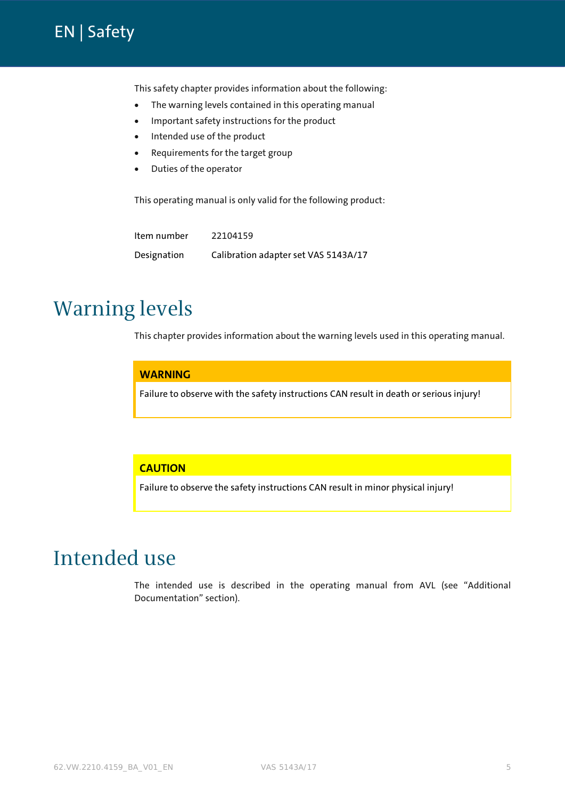### <span id="page-4-0"></span>[EN](#page-1-1) | Safety

This safety chapter provides information about the following:

- The warning levels contained in this operating manual
- Important safety instructions for the product
- Intended use of the product
- Requirements for the target group
- Duties of the operator

This operating manual is only valid for the following product:

Item number 22104159 Designation [Calibration adapter set VAS 5143A/17](#page-0-0)

## <span id="page-4-1"></span>Warning levels

This chapter provides information about the warning levels used in this operating manual.

#### **WARNING**

Failure to observe with the safety instructions CAN result in death or serious injury!

#### **CAUTION**

Failure to observe the safety instructions CAN result in minor physical injury!

## <span id="page-4-2"></span>Intended use

The intended use is described in the operating manual from AVL (see "Additional Documentation" section).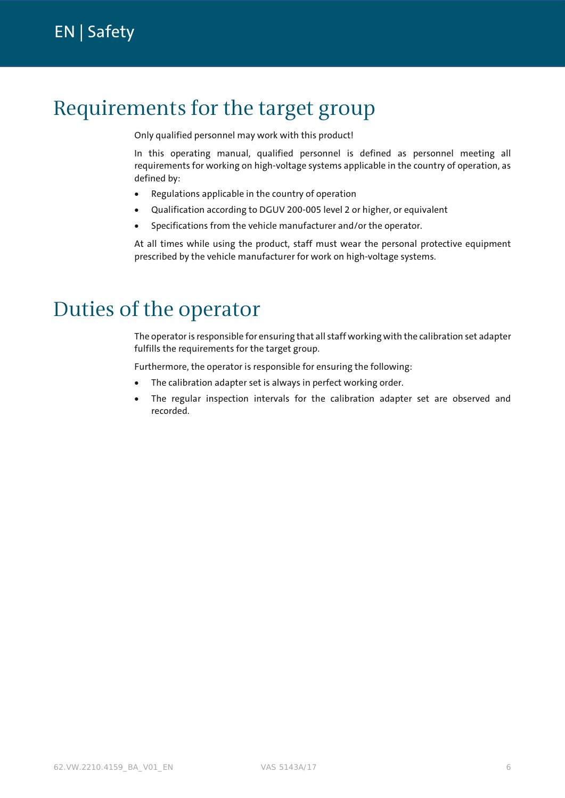## <span id="page-5-0"></span>Requirements for the target group

Only qualified personnel may work with this product!

In this operating manual, qualified personnel is defined as personnel meeting all requirements for working on high-voltage systems applicable in the country of operation, as defined by:

- Regulations applicable in the country of operation
- Qualification according to DGUV 200-005 level 2 or higher, or equivalent
- Specifications from the vehicle manufacturer and/or the operator.

At all times while using the product, staff must wear the personal protective equipment prescribed by the vehicle manufacturer for work on high-voltage systems.

## <span id="page-5-1"></span>Duties of the operator

The operator is responsible for ensuring that all staff working with the calibration set adapter fulfills the requirements for the target group.

Furthermore, the operator is responsible for ensuring the following:

- The calibration adapter set is always in perfect working order.
- The regular inspection intervals for the calibration adapter set are observed and recorded.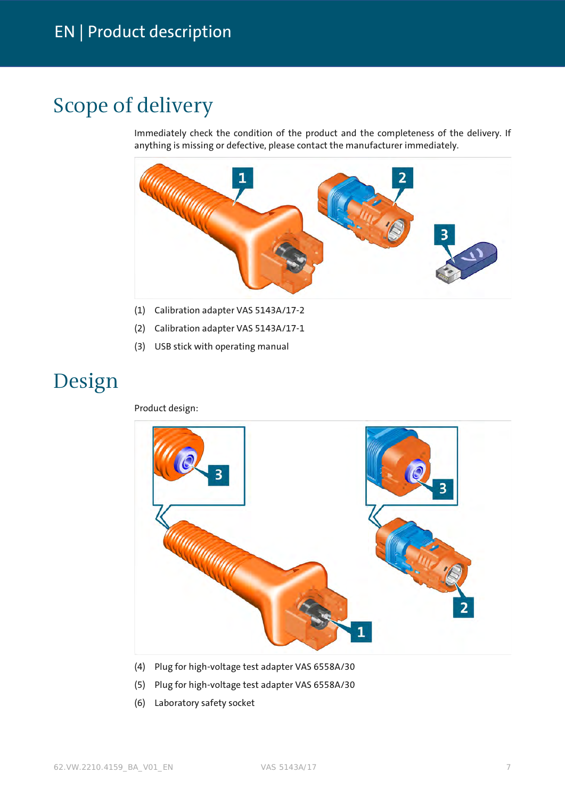## <span id="page-6-1"></span><span id="page-6-0"></span>Scope of delivery

Immediately check the condition of the product and the completeness of the delivery. If anything is missing or defective, please contact the manufacturer immediately.



- (1) Calibration adapter VAS 5143A/17-2
- (2) Calibration adapter VAS 5143A/17-1
- (3) USB stick with operating manual

## <span id="page-6-2"></span>Design

Product design:



- (4) Plug for high-voltage test adapter VAS 6558A/30
- (5) Plug for high-voltage test adapter VAS 6558A/30
- (6) Laboratory safety socket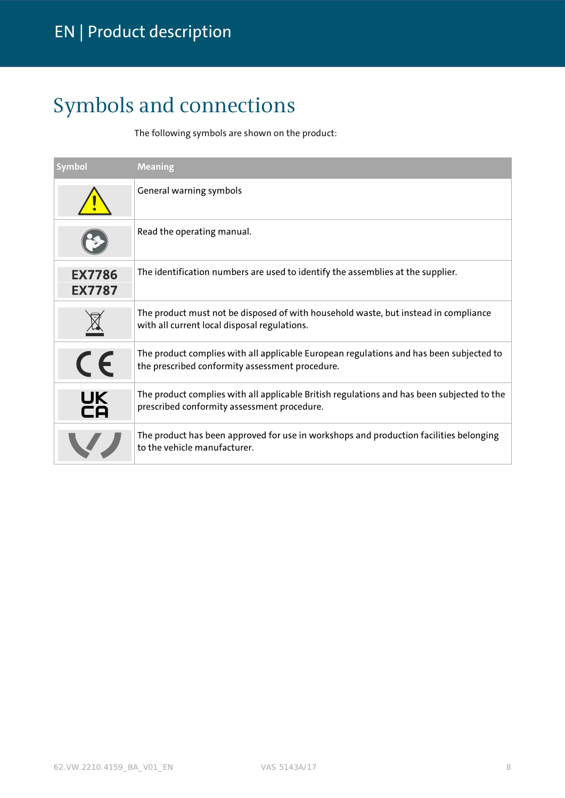# <span id="page-7-0"></span>Symbols and connections

The following symbols are shown on the product:

| <b>Symbol</b>                  | <b>Meaning</b>                                                                                                                             |
|--------------------------------|--------------------------------------------------------------------------------------------------------------------------------------------|
|                                | General warning symbols                                                                                                                    |
|                                | Read the operating manual.                                                                                                                 |
| <b>EX7786</b><br><b>EX7787</b> | The identification numbers are used to identify the assemblies at the supplier.                                                            |
|                                | The product must not be disposed of with household waste, but instead in compliance<br>with all current local disposal regulations.        |
| CE                             | The product complies with all applicable European regulations and has been subjected to<br>the prescribed conformity assessment procedure. |
| <b>UK</b><br>CA                | The product complies with all applicable British regulations and has been subjected to the<br>prescribed conformity assessment procedure.  |
|                                | The product has been approved for use in workshops and production facilities belonging<br>to the vehicle manufacturer.                     |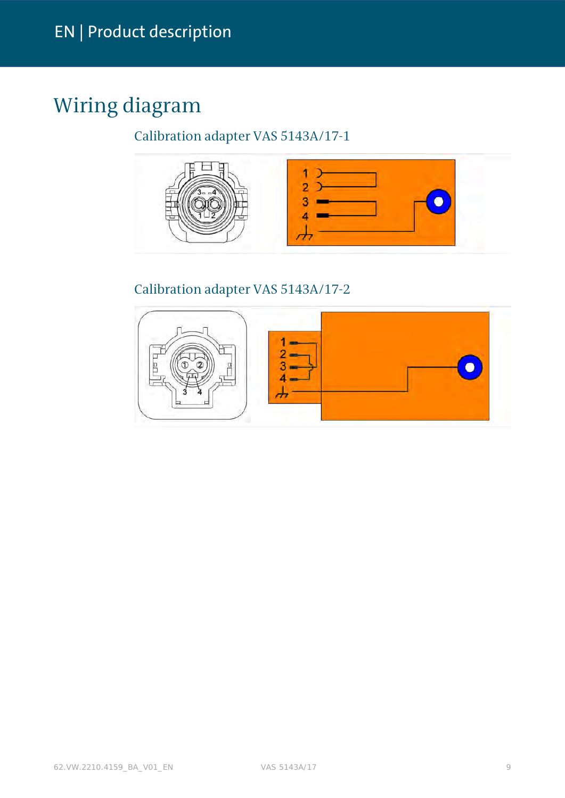# <span id="page-8-0"></span>Wiring diagram

### <span id="page-8-1"></span>Calibration adapter VAS 5143A/17-1



### <span id="page-8-2"></span>Calibration adapter VAS 5143A/17-2

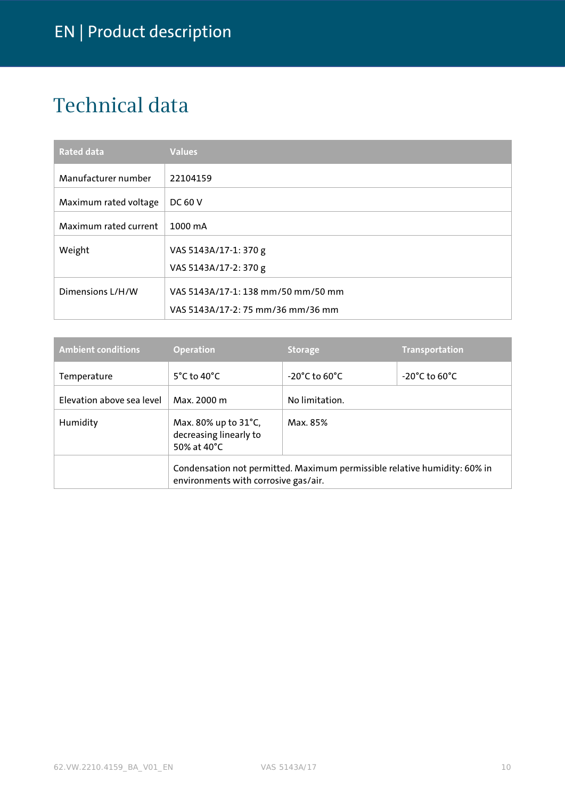# <span id="page-9-0"></span>Technical data

| <b>Rated data</b>     | <b>Values</b>                      |
|-----------------------|------------------------------------|
| Manufacturer number   | 22104159                           |
| Maximum rated voltage | <b>DC 60 V</b>                     |
| Maximum rated current | 1000 mA                            |
| Weight                | VAS 5143A/17-1: 370 g              |
|                       | VAS 5143A/17-2: 370 g              |
| Dimensions L/H/W      | VAS 5143A/17-1: 138 mm/50 mm/50 mm |
|                       | VAS 5143A/17-2: 75 mm/36 mm/36 mm  |

| <b>Ambient conditions</b> | <b>Operation</b>                                                                                                  | <b>Storage</b>                     | <b>Transportation</b>              |  |
|---------------------------|-------------------------------------------------------------------------------------------------------------------|------------------------------------|------------------------------------|--|
| Temperature               | $5^{\circ}$ C to 40 $^{\circ}$ C                                                                                  | $-20^{\circ}$ C to 60 $^{\circ}$ C | $-20^{\circ}$ C to 60 $^{\circ}$ C |  |
| Elevation above sea level | Max. 2000 m                                                                                                       | No limitation.                     |                                    |  |
| Humidity                  | Max. 80% up to 31°C,<br>decreasing linearly to<br>50% at 40°C                                                     | Max. 85%                           |                                    |  |
|                           | Condensation not permitted. Maximum permissible relative humidity: 60% in<br>environments with corrosive gas/air. |                                    |                                    |  |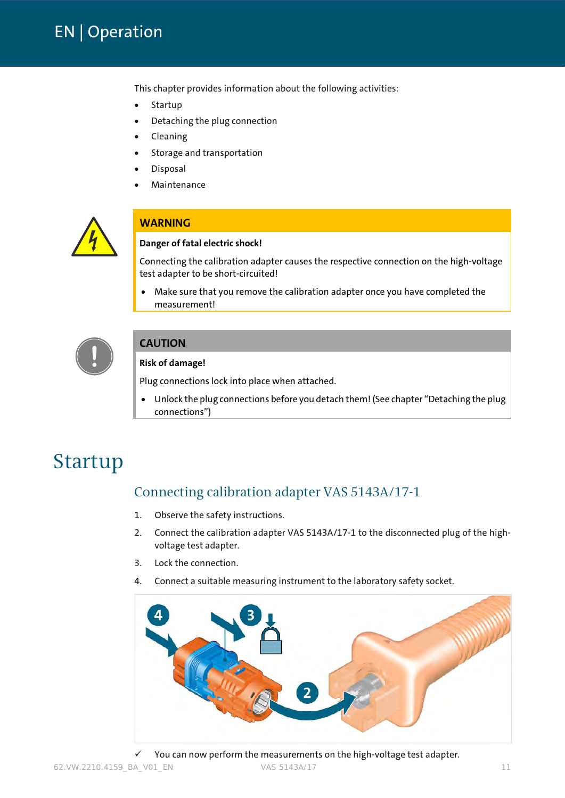### <span id="page-10-0"></span>[EN](#page-1-1) | Operation

This chapter provides information about the following activities:

- Startup
- Detaching the plug connection
- Cleaning
- Storage and transportation
- **Disposal**
- Maintenance



#### **WARNING**

#### **Danger of fatal electric shock!**

Connecting the calibration adapter causes the respective connection on the high-voltage test adapter to be short-circuited!

• Make sure that you remove the calibration adapter once you have completed the measurement!



#### **CAUTION**

#### **Risk of damage!**

Plug connections lock into place when attached.

• Unlock the plug connections before you detach them! (See chapter "Detaching the plug connections")

## <span id="page-10-1"></span>Startup

### <span id="page-10-2"></span>Connecting calibration adapter VAS 5143A/17-1

- 1. Observe th[e safety instructions.](#page-4-0)
- 2. Connect the calibration adapter VAS 5143A/17-1 to the disconnected plug of the highvoltage test adapter.
- 3. Lock the connection.
- 4. Connect a suitable measuring instrument to the laboratory safety socket.



62.VW.2210.4159\_BA\_V01\_EN VAS 5143A/17 11 You can now perform the measurements on the high-voltage test adapter.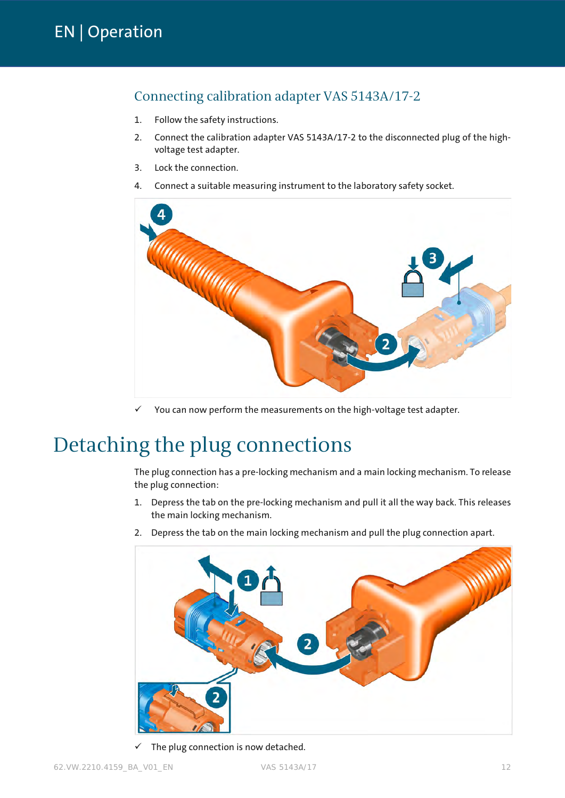### <span id="page-11-0"></span>Connecting calibration adapter VAS 5143A/17-2

- 1. Follow the [safety instructions.](#page-4-0)
- 2. Connect the calibration adapter VAS 5143A/17-2 to the disconnected plug of the highvoltage test adapter.
- 3. Lock the connection.
- 4. Connect a suitable measuring instrument to the laboratory safety socket.



You can now perform the measurements on the high-voltage test adapter.

## <span id="page-11-1"></span>Detaching the plug connections

The plug connection has a pre-locking mechanism and a main locking mechanism. To release the plug connection:

- 1. Depress the tab on the pre-locking mechanism and pull it all the way back. This releases the main locking mechanism.
- 2. Depress the tab on the main locking mechanism and pull the plug connection apart.



 $\checkmark$  The plug connection is now detached.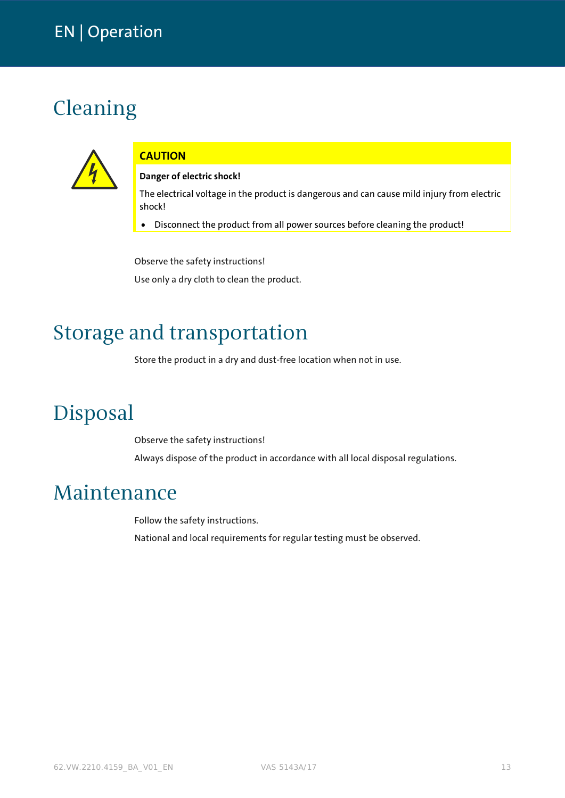## <span id="page-12-0"></span>Cleaning



### **CAUTION**

#### **Danger of electric shock!**

The electrical voltage in the product is dangerous and can cause mild injury from electric shock!

• Disconnect the product from all power sources before cleaning the product!

Observe the [safety instructions!](#page-4-0) Use only a dry cloth to clean the product.

## <span id="page-12-1"></span>Storage and transportation

Store the product in a dry and dust-free location when not in use.

## <span id="page-12-2"></span>Disposal

Observe the [safety instructions!](#page-4-0) Always dispose of the product in accordance with all local disposal regulations.

## <span id="page-12-3"></span>Maintenance

Follow th[e safety instructions.](#page-4-0) National and local requirements for regular testing must be observed.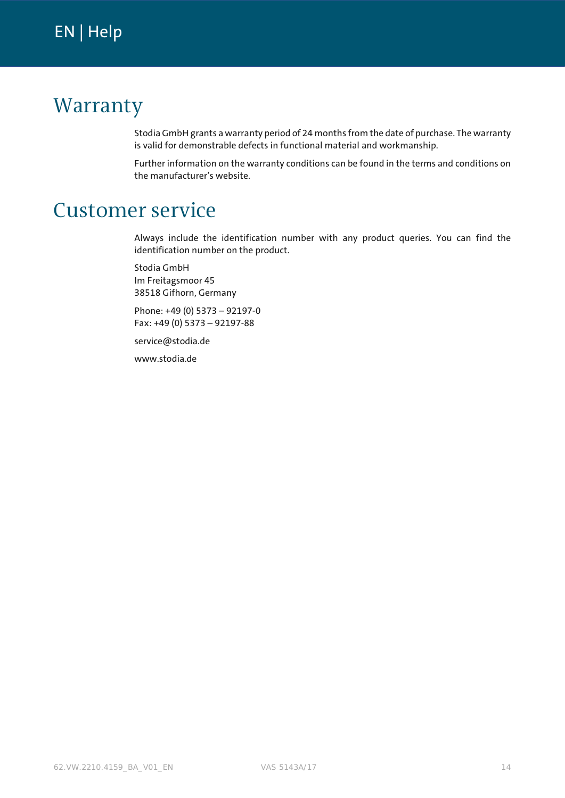## <span id="page-13-1"></span><span id="page-13-0"></span>Warranty

Stodia GmbH grants a warranty period of 24 months from the date of purchase. The warranty is valid for demonstrable defects in functional material and workmanship.

Further information on the warranty conditions can be found in the terms and conditions on the manufacturer's website.

## <span id="page-13-2"></span>Customer service

Always include the identification number with any product queries. You can find the identification number on the product.

Stodia GmbH Im Freitagsmoor 45 38518 Gifhorn, Germany

Phone: +49 (0) 5373 – 92197-0 Fax: +49 (0) 5373 – 92197-88

service@stodia.de

www.stodia.de